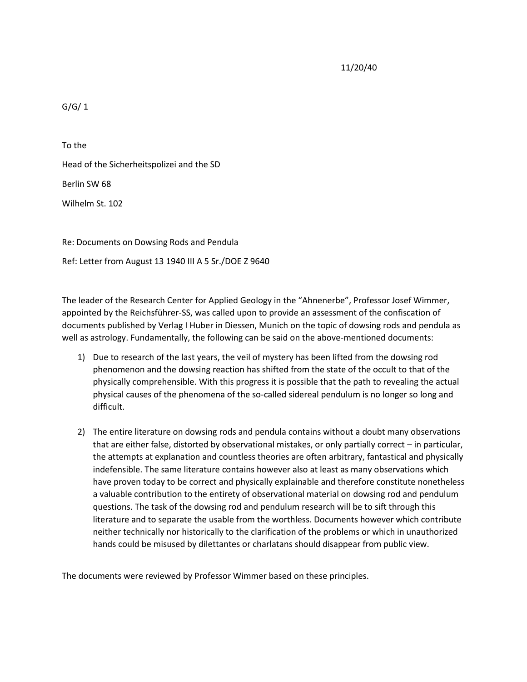11/20/40

 $G/G/1$ 

To the Head of the Sicherheitspolizei and the SD Berlin SW 68 Wilhelm St. 102

Re: Documents on Dowsing Rods and Pendula Ref: Letter from August 13 1940 III A 5 Sr./DOE Z 9640

The leader of the Research Center for Applied Geology in the "Ahnenerbe", Professor Josef Wimmer, appointed by the Reichsführer-SS, was called upon to provide an assessment of the confiscation of documents published by Verlag I Huber in Diessen, Munich on the topic of dowsing rods and pendula as well as astrology. Fundamentally, the following can be said on the above-mentioned documents:

- 1) Due to research of the last years, the veil of mystery has been lifted from the dowsing rod phenomenon and the dowsing reaction has shifted from the state of the occult to that of the physically comprehensible. With this progress it is possible that the path to revealing the actual physical causes of the phenomena of the so-called sidereal pendulum is no longer so long and difficult.
- 2) The entire literature on dowsing rods and pendula contains without a doubt many observations that are either false, distorted by observational mistakes, or only partially correct – in particular, the attempts at explanation and countless theories are often arbitrary, fantastical and physically indefensible. The same literature contains however also at least as many observations which have proven today to be correct and physically explainable and therefore constitute nonetheless a valuable contribution to the entirety of observational material on dowsing rod and pendulum questions. The task of the dowsing rod and pendulum research will be to sift through this literature and to separate the usable from the worthless. Documents however which contribute neither technically nor historically to the clarification of the problems or which in unauthorized hands could be misused by dilettantes or charlatans should disappear from public view.

The documents were reviewed by Professor Wimmer based on these principles.